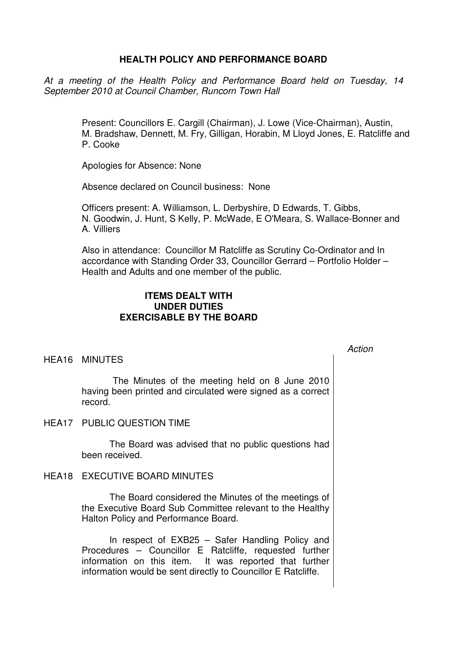## **HEALTH POLICY AND PERFORMANCE BOARD**

At a meeting of the Health Policy and Performance Board held on Tuesday, 14 September 2010 at Council Chamber, Runcorn Town Hall

> Present: Councillors E. Cargill (Chairman), J. Lowe (Vice-Chairman), Austin, M. Bradshaw, Dennett, M. Fry, Gilligan, Horabin, M Lloyd Jones, E. Ratcliffe and P. Cooke

Apologies for Absence: None

Absence declared on Council business: None

Officers present: A. Williamson, L. Derbyshire, D Edwards, T. Gibbs, N. Goodwin, J. Hunt, S Kelly, P. McWade, E O'Meara, S. Wallace-Bonner and A. Villiers

Also in attendance: Councillor M Ratcliffe as Scrutiny Co-Ordinator and In accordance with Standing Order 33, Councillor Gerrard – Portfolio Holder – Health and Adults and one member of the public.

## **ITEMS DEALT WITH UNDER DUTIES EXERCISABLE BY THE BOARD**

## Action

### HEA16 MINUTES

 The Minutes of the meeting held on 8 June 2010 having been printed and circulated were signed as a correct record.

HEA17 PUBLIC QUESTION TIME

 The Board was advised that no public questions had been received.

# HEA18 EXECUTIVE BOARD MINUTES

 The Board considered the Minutes of the meetings of the Executive Board Sub Committee relevant to the Healthy Halton Policy and Performance Board.

 In respect of EXB25 – Safer Handling Policy and Procedures – Councillor E Ratcliffe, requested further information on this item. It was reported that further information would be sent directly to Councillor E Ratcliffe.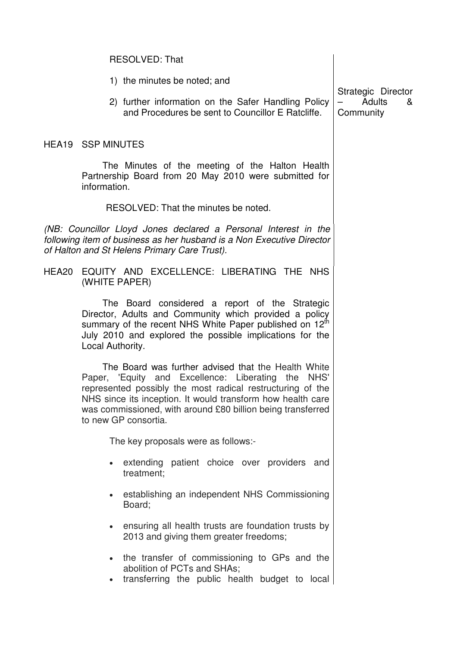|                                                                                                                                                                                          | 1) the minutes be noted; and                                                                                                                                                                                                                                                                                                  |                                                |
|------------------------------------------------------------------------------------------------------------------------------------------------------------------------------------------|-------------------------------------------------------------------------------------------------------------------------------------------------------------------------------------------------------------------------------------------------------------------------------------------------------------------------------|------------------------------------------------|
|                                                                                                                                                                                          | 2) further information on the Safer Handling Policy<br>and Procedures be sent to Councillor E Ratcliffe.                                                                                                                                                                                                                      | Strategic Director<br>Adults<br>&<br>Community |
|                                                                                                                                                                                          | <b>HEA19 SSP MINUTES</b>                                                                                                                                                                                                                                                                                                      |                                                |
|                                                                                                                                                                                          | The Minutes of the meeting of the Halton Health<br>Partnership Board from 20 May 2010 were submitted for<br>information.                                                                                                                                                                                                      |                                                |
|                                                                                                                                                                                          | RESOLVED: That the minutes be noted.                                                                                                                                                                                                                                                                                          |                                                |
| (NB: Councillor Lloyd Jones declared a Personal Interest in the<br>following item of business as her husband is a Non Executive Director<br>of Halton and St Helens Primary Care Trust). |                                                                                                                                                                                                                                                                                                                               |                                                |
|                                                                                                                                                                                          | HEA20 EQUITY AND EXCELLENCE: LIBERATING THE NHS<br>(WHITE PAPER)                                                                                                                                                                                                                                                              |                                                |
|                                                                                                                                                                                          | The Board considered a report of the Strategic<br>Director, Adults and Community which provided a policy<br>summary of the recent NHS White Paper published on 12 <sup>th</sup><br>July 2010 and explored the possible implications for the<br>Local Authority.                                                               |                                                |
|                                                                                                                                                                                          | The Board was further advised that the Health White<br>Paper, 'Equity and Excellence: Liberating the NHS'<br>represented possibly the most radical restructuring of the<br>NHS since its inception. It would transform how health care<br>was commissioned, with around £80 billion being transferred<br>to new GP consortia. |                                                |
|                                                                                                                                                                                          | The key proposals were as follows:-                                                                                                                                                                                                                                                                                           |                                                |
|                                                                                                                                                                                          | extending patient choice over providers and<br>treatment:                                                                                                                                                                                                                                                                     |                                                |
|                                                                                                                                                                                          | establishing an independent NHS Commissioning<br>Board;                                                                                                                                                                                                                                                                       |                                                |
|                                                                                                                                                                                          | • ensuring all health trusts are foundation trusts by<br>2013 and giving them greater freedoms;                                                                                                                                                                                                                               |                                                |
|                                                                                                                                                                                          | the transfer of commissioning to GPs and the<br>abolition of PCTs and SHAs;<br>transferring the public health budget to local<br>$\bullet$                                                                                                                                                                                    |                                                |
|                                                                                                                                                                                          |                                                                                                                                                                                                                                                                                                                               |                                                |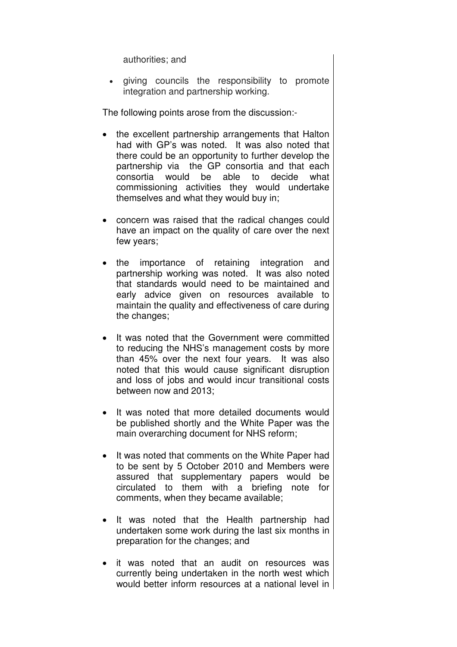authorities; and

• giving councils the responsibility to promote integration and partnership working.

The following points arose from the discussion:-

- the excellent partnership arrangements that Halton had with GP's was noted. It was also noted that there could be an opportunity to further develop the partnership via the GP consortia and that each consortia would be able to decide what commissioning activities they would undertake themselves and what they would buy in;
- concern was raised that the radical changes could have an impact on the quality of care over the next few years;
- the importance of retaining integration and partnership working was noted. It was also noted that standards would need to be maintained and early advice given on resources available to maintain the quality and effectiveness of care during the changes;
- It was noted that the Government were committed to reducing the NHS's management costs by more than 45% over the next four years. It was also noted that this would cause significant disruption and loss of jobs and would incur transitional costs between now and 2013;
- It was noted that more detailed documents would be published shortly and the White Paper was the main overarching document for NHS reform;
- It was noted that comments on the White Paper had to be sent by 5 October 2010 and Members were assured that supplementary papers would be circulated to them with a briefing note for comments, when they became available;
- It was noted that the Health partnership had undertaken some work during the last six months in preparation for the changes; and
- it was noted that an audit on resources was currently being undertaken in the north west which would better inform resources at a national level in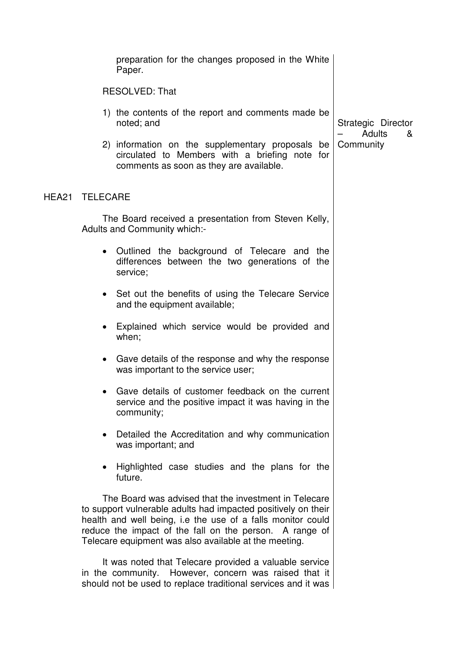|       |                 | preparation for the changes proposed in the White<br>Paper.                                                                                                                                                                                                                                               |                                   |
|-------|-----------------|-----------------------------------------------------------------------------------------------------------------------------------------------------------------------------------------------------------------------------------------------------------------------------------------------------------|-----------------------------------|
|       |                 | <b>RESOLVED: That</b>                                                                                                                                                                                                                                                                                     |                                   |
|       |                 | 1) the contents of the report and comments made be<br>noted; and                                                                                                                                                                                                                                          | Strategic Director<br>Adults<br>& |
|       |                 | 2) information on the supplementary proposals be<br>circulated to Members with a briefing note for<br>comments as soon as they are available.                                                                                                                                                             | Community                         |
| HEA21 | <b>TELECARE</b> |                                                                                                                                                                                                                                                                                                           |                                   |
|       |                 | The Board received a presentation from Steven Kelly,<br>Adults and Community which:-                                                                                                                                                                                                                      |                                   |
|       | $\bullet$       | Outlined the background of Telecare and the<br>differences between the two generations of the<br>service;                                                                                                                                                                                                 |                                   |
|       | $\bullet$       | Set out the benefits of using the Telecare Service<br>and the equipment available;                                                                                                                                                                                                                        |                                   |
|       |                 | Explained which service would be provided and<br>when;                                                                                                                                                                                                                                                    |                                   |
|       | $\bullet$       | Gave details of the response and why the response<br>was important to the service user;                                                                                                                                                                                                                   |                                   |
|       |                 | Gave details of customer feedback on the current<br>service and the positive impact it was having in the<br>community;                                                                                                                                                                                    |                                   |
|       |                 | Detailed the Accreditation and why communication<br>was important; and                                                                                                                                                                                                                                    |                                   |
|       |                 | Highlighted case studies and the plans for the<br>future.                                                                                                                                                                                                                                                 |                                   |
|       |                 | The Board was advised that the investment in Telecare<br>to support vulnerable adults had impacted positively on their<br>health and well being, i.e the use of a falls monitor could<br>reduce the impact of the fall on the person. A range of<br>Telecare equipment was also available at the meeting. |                                   |
|       |                 | It was noted that Telecare provided a valuable service                                                                                                                                                                                                                                                    |                                   |

in the community. However, concern was raised that it should not be used to replace traditional services and it was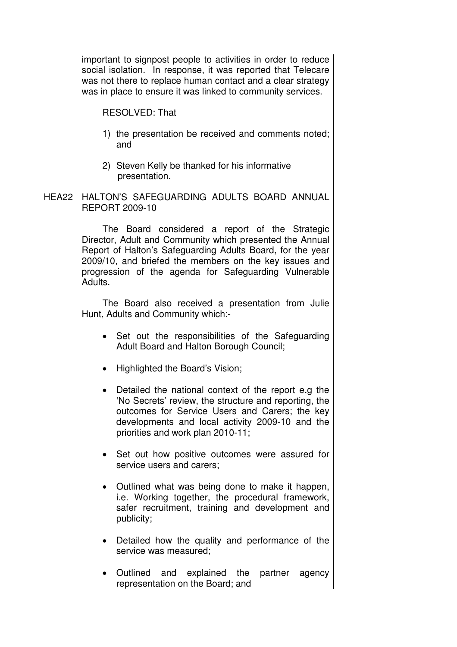important to signpost people to activities in order to reduce social isolation. In response, it was reported that Telecare was not there to replace human contact and a clear strategy was in place to ensure it was linked to community services.

## RESOLVED: That

- 1) the presentation be received and comments noted; and
- 2) Steven Kelly be thanked for his informative presentation.
- HEA22 HALTON'S SAFEGUARDING ADULTS BOARD ANNUAL REPORT 2009-10

 The Board considered a report of the Strategic Director, Adult and Community which presented the Annual Report of Halton's Safeguarding Adults Board, for the year 2009/10, and briefed the members on the key issues and progression of the agenda for Safeguarding Vulnerable Adults.

The Board also received a presentation from Julie Hunt, Adults and Community which:-

- Set out the responsibilities of the Safeguarding Adult Board and Halton Borough Council;
- Highlighted the Board's Vision;
- Detailed the national context of the report e.g the 'No Secrets' review, the structure and reporting, the outcomes for Service Users and Carers; the key developments and local activity 2009-10 and the priorities and work plan 2010-11;
- Set out how positive outcomes were assured for service users and carers;
- Outlined what was being done to make it happen, i.e. Working together, the procedural framework, safer recruitment, training and development and publicity;
- Detailed how the quality and performance of the service was measured;
- Outlined and explained the partner agency representation on the Board; and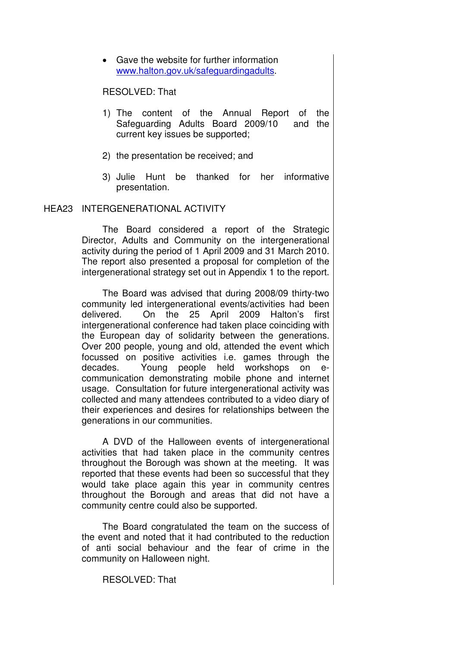• Gave the website for further information www.halton.gov.uk/safeguardingadults.

## RESOLVED: That

- 1) The content of the Annual Report of the Safeguarding Adults Board 2009/10 and the current key issues be supported;
- 2) the presentation be received; and
- 3) Julie Hunt be thanked for her informative presentation.

# HEA23 INTERGENERATIONAL ACTIVITY

 The Board considered a report of the Strategic Director, Adults and Community on the intergenerational activity during the period of 1 April 2009 and 31 March 2010. The report also presented a proposal for completion of the intergenerational strategy set out in Appendix 1 to the report.

The Board was advised that during 2008/09 thirty-two community led intergenerational events/activities had been delivered. On the 25 April 2009 Halton's first intergenerational conference had taken place coinciding with the European day of solidarity between the generations. Over 200 people, young and old, attended the event which focussed on positive activities i.e. games through the decades. Young people held workshops on ecommunication demonstrating mobile phone and internet usage. Consultation for future intergenerational activity was collected and many attendees contributed to a video diary of their experiences and desires for relationships between the generations in our communities.

A DVD of the Halloween events of intergenerational activities that had taken place in the community centres throughout the Borough was shown at the meeting. It was reported that these events had been so successful that they would take place again this year in community centres throughout the Borough and areas that did not have a community centre could also be supported.

The Board congratulated the team on the success of the event and noted that it had contributed to the reduction of anti social behaviour and the fear of crime in the community on Halloween night.

RESOLVED: That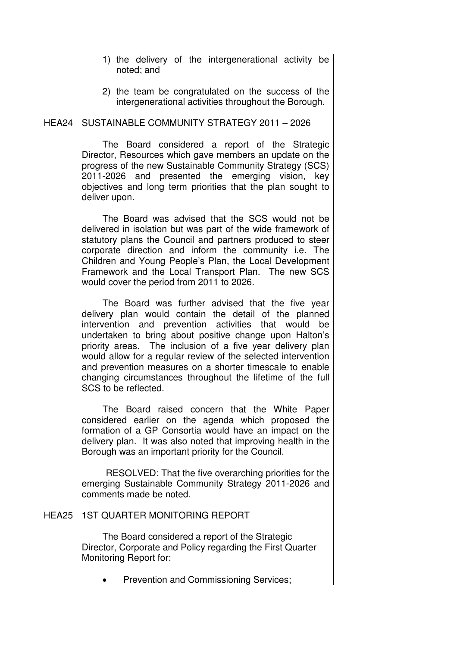- 1) the delivery of the intergenerational activity be noted; and
- 2) the team be congratulated on the success of the intergenerational activities throughout the Borough.

### HEA24 SUSTAINABLE COMMUNITY STRATEGY 2011 – 2026

 The Board considered a report of the Strategic Director, Resources which gave members an update on the progress of the new Sustainable Community Strategy (SCS) 2011-2026 and presented the emerging vision, key objectives and long term priorities that the plan sought to deliver upon.

The Board was advised that the SCS would not be delivered in isolation but was part of the wide framework of statutory plans the Council and partners produced to steer corporate direction and inform the community i.e. The Children and Young People's Plan, the Local Development Framework and the Local Transport Plan. The new SCS would cover the period from 2011 to 2026.

The Board was further advised that the five year delivery plan would contain the detail of the planned intervention and prevention activities that would be undertaken to bring about positive change upon Halton's priority areas. The inclusion of a five year delivery plan would allow for a regular review of the selected intervention and prevention measures on a shorter timescale to enable changing circumstances throughout the lifetime of the full SCS to be reflected.

The Board raised concern that the White Paper considered earlier on the agenda which proposed the formation of a GP Consortia would have an impact on the delivery plan. It was also noted that improving health in the Borough was an important priority for the Council.

RESOLVED: That the five overarching priorities for the emerging Sustainable Community Strategy 2011-2026 and comments made be noted.

#### HEA25 1ST QUARTER MONITORING REPORT

 The Board considered a report of the Strategic Director, Corporate and Policy regarding the First Quarter Monitoring Report for:

• Prevention and Commissioning Services;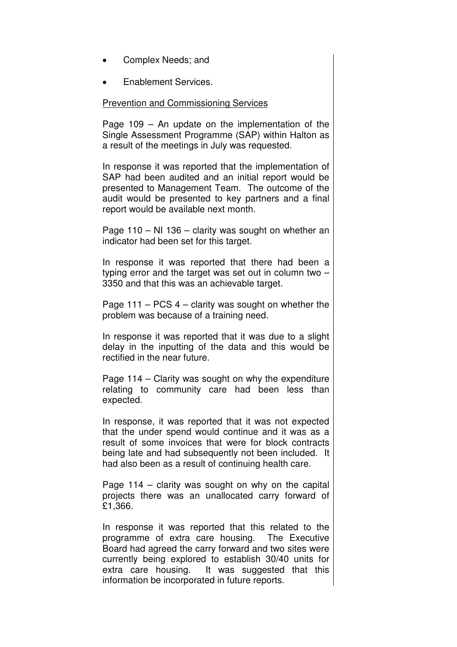- Complex Needs; and
- Enablement Services.

#### Prevention and Commissioning Services

Page 109 – An update on the implementation of the Single Assessment Programme (SAP) within Halton as a result of the meetings in July was requested.

In response it was reported that the implementation of SAP had been audited and an initial report would be presented to Management Team. The outcome of the audit would be presented to key partners and a final report would be available next month.

Page 110 – NI 136 – clarity was sought on whether an indicator had been set for this target.

In response it was reported that there had been a typing error and the target was set out in column two – 3350 and that this was an achievable target.

Page  $111 - PCS$  4 – clarity was sought on whether the problem was because of a training need.

In response it was reported that it was due to a slight delay in the inputting of the data and this would be rectified in the near future.

Page 114 – Clarity was sought on why the expenditure relating to community care had been less than expected.

In response, it was reported that it was not expected that the under spend would continue and it was as a result of some invoices that were for block contracts being late and had subsequently not been included. It had also been as a result of continuing health care.

Page 114 – clarity was sought on why on the capital projects there was an unallocated carry forward of £1,366.

In response it was reported that this related to the programme of extra care housing. The Executive Board had agreed the carry forward and two sites were currently being explored to establish 30/40 units for extra care housing. It was suggested that this information be incorporated in future reports.